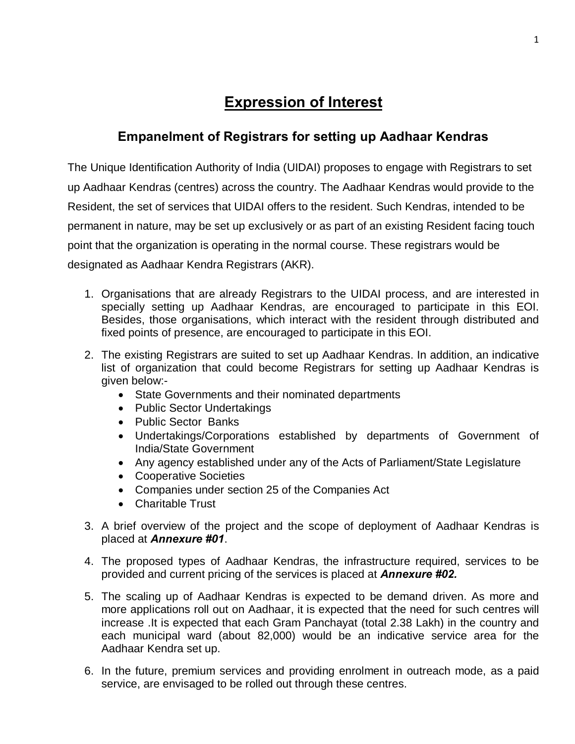# **Expression of Interest**

## **Empanelment of Registrars for setting up Aadhaar Kendras**

The Unique Identification Authority of India (UIDAI) proposes to engage with Registrars to set up Aadhaar Kendras (centres) across the country. The Aadhaar Kendras would provide to the Resident, the set of services that UIDAI offers to the resident. Such Kendras, intended to be permanent in nature, may be set up exclusively or as part of an existing Resident facing touch point that the organization is operating in the normal course. These registrars would be designated as Aadhaar Kendra Registrars (AKR).

- 1. Organisations that are already Registrars to the UIDAI process, and are interested in specially setting up Aadhaar Kendras, are encouraged to participate in this EOI. Besides, those organisations, which interact with the resident through distributed and fixed points of presence, are encouraged to participate in this EOI.
- 2. The existing Registrars are suited to set up Aadhaar Kendras. In addition, an indicative list of organization that could become Registrars for setting up Aadhaar Kendras is given below:-
	- · State Governments and their nominated departments
	- · Public Sector Undertakings
	- · Public Sector Banks
	- · Undertakings/Corporations established by departments of Government of India/State Government
	- · Any agency established under any of the Acts of Parliament/State Legislature
	- · Cooperative Societies
	- · Companies under section 25 of the Companies Act
	- · Charitable Trust
- 3. A brief overview of the project and the scope of deployment of Aadhaar Kendras is placed at *Annexure #01*.
- 4. The proposed types of Aadhaar Kendras, the infrastructure required, services to be provided and current pricing of the services is placed at *Annexure #02.*
- 5. The scaling up of Aadhaar Kendras is expected to be demand driven. As more and more applications roll out on Aadhaar, it is expected that the need for such centres will increase .It is expected that each Gram Panchayat (total 2.38 Lakh) in the country and each municipal ward (about 82,000) would be an indicative service area for the Aadhaar Kendra set up.
- 6. In the future, premium services and providing enrolment in outreach mode, as a paid service, are envisaged to be rolled out through these centres.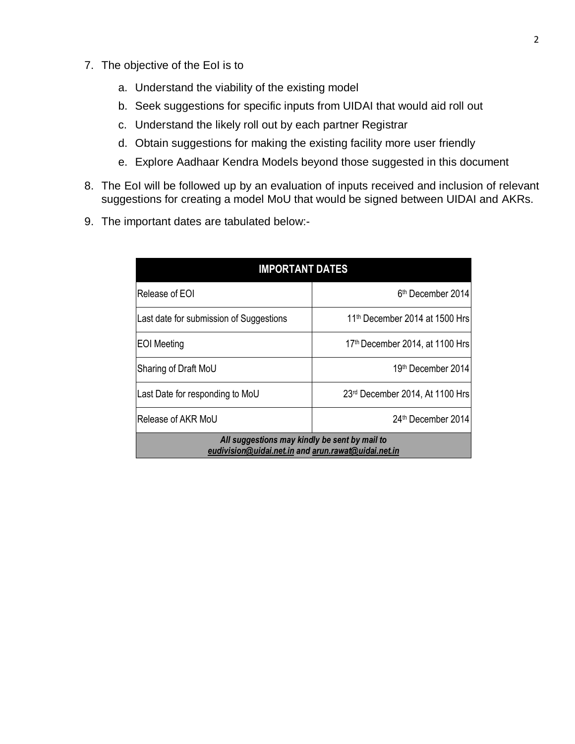- 7. The objective of the EoI is to
	- a. Understand the viability of the existing model
	- b. Seek suggestions for specific inputs from UIDAI that would aid roll out
	- c. Understand the likely roll out by each partner Registrar
	- d. Obtain suggestions for making the existing facility more user friendly
	- e. Explore Aadhaar Kendra Models beyond those suggested in this document
- 8. The EoI will be followed up by an evaluation of inputs received and inclusion of relevant suggestions for creating a model MoU that would be signed between UIDAI and AKRs.
- 9. The important dates are tabulated below:-

| <b>IMPORTANT DATES</b>                                                                               |                                             |  |  |  |  |  |
|------------------------------------------------------------------------------------------------------|---------------------------------------------|--|--|--|--|--|
| Release of EOI                                                                                       | 6 <sup>th</sup> December 2014               |  |  |  |  |  |
| Last date for submission of Suggestions                                                              | 11 <sup>th</sup> December 2014 at 1500 Hrs  |  |  |  |  |  |
| <b>EOI</b> Meeting                                                                                   | 17 <sup>th</sup> December 2014, at 1100 Hrs |  |  |  |  |  |
| Sharing of Draft MoU                                                                                 | 19th December 2014                          |  |  |  |  |  |
| Last Date for responding to MoU                                                                      | 23rd December 2014, At 1100 Hrs             |  |  |  |  |  |
| Release of AKR MoU                                                                                   | 24th December 2014                          |  |  |  |  |  |
| All suggestions may kindly be sent by mail to<br>eudivision@uidai.net.in and arun.rawat@uidai.net.in |                                             |  |  |  |  |  |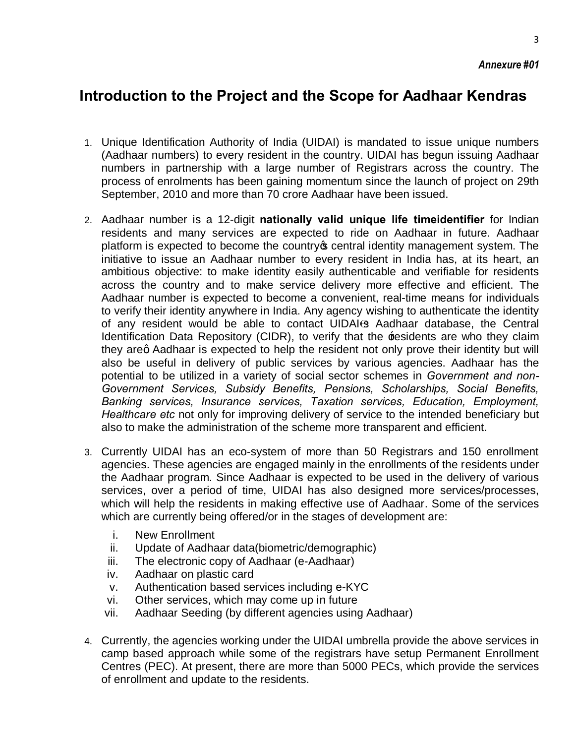3

## **Introduction to the Project and the Scope for Aadhaar Kendras**

- 1. Unique Identification Authority of India (UIDAI) is mandated to issue unique numbers (Aadhaar numbers) to every resident in the country. UIDAI has begun issuing Aadhaar numbers in partnership with a large number of Registrars across the country. The process of enrolments has been gaining momentum since the launch of project on 29th September, 2010 and more than 70 crore Aadhaar have been issued.
- 2. Aadhaar number is a 12-digit **nationally valid unique life timeidentifier** for Indian residents and many services are expected to ride on Aadhaar in future. Aadhaar platform is expected to become the country opentral identity management system. The initiative to issue an Aadhaar number to every resident in India has, at its heart, an ambitious objective: to make identity easily authenticable and verifiable for residents across the country and to make service delivery more effective and efficient. The Aadhaar number is expected to become a convenient, real-time means for individuals to verify their identity anywhere in India. Any agency wishing to authenticate the identity of any resident would be able to contact UIDAI s Aadhaar database, the Central Identification Data Repository (CIDR), to verify that the residents are who they claim they areg Aadhaar is expected to help the resident not only prove their identity but will also be useful in delivery of public services by various agencies. Aadhaar has the potential to be utilized in a variety of social sector schemes in *Government and non-Government Services, Subsidy Benefits, Pensions, Scholarships, Social Benefits, Banking services, Insurance services, Taxation services, Education, Employment, Healthcare etc* not only for improving delivery of service to the intended beneficiary but also to make the administration of the scheme more transparent and efficient.
- 3. Currently UIDAI has an eco-system of more than 50 Registrars and 150 enrollment agencies. These agencies are engaged mainly in the enrollments of the residents under the Aadhaar program. Since Aadhaar is expected to be used in the delivery of various services, over a period of time, UIDAI has also designed more services/processes, which will help the residents in making effective use of Aadhaar. Some of the services which are currently being offered/or in the stages of development are:
	- i. New Enrollment
	- ii. Update of Aadhaar data(biometric/demographic)
	- iii. The electronic copy of Aadhaar (e-Aadhaar)
	- iv. Aadhaar on plastic card
	- v. Authentication based services including e-KYC
	- vi. Other services, which may come up in future
	- vii. Aadhaar Seeding (by different agencies using Aadhaar)
- 4. Currently, the agencies working under the UIDAI umbrella provide the above services in camp based approach while some of the registrars have setup Permanent Enrollment Centres (PEC). At present, there are more than 5000 PECs, which provide the services of enrollment and update to the residents.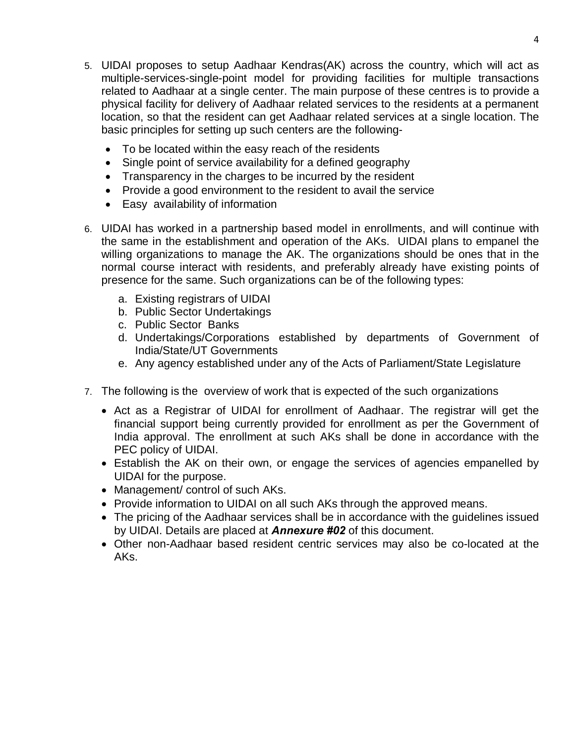- 5. UIDAI proposes to setup Aadhaar Kendras(AK) across the country, which will act as multiple-services-single-point model for providing facilities for multiple transactions related to Aadhaar at a single center. The main purpose of these centres is to provide a physical facility for delivery of Aadhaar related services to the residents at a permanent location, so that the resident can get Aadhaar related services at a single location. The basic principles for setting up such centers are the following-
	- · To be located within the easy reach of the residents
	- Single point of service availability for a defined geography
	- · Transparency in the charges to be incurred by the resident
	- · Provide a good environment to the resident to avail the service
	- · Easy availability of information
- 6. UIDAI has worked in a partnership based model in enrollments, and will continue with the same in the establishment and operation of the AKs. UIDAI plans to empanel the willing organizations to manage the AK. The organizations should be ones that in the normal course interact with residents, and preferably already have existing points of presence for the same. Such organizations can be of the following types:
	- a. Existing registrars of UIDAI
	- b. Public Sector Undertakings
	- c. Public Sector Banks
	- d. Undertakings/Corporations established by departments of Government of India/State/UT Governments
	- e. Any agency established under any of the Acts of Parliament/State Legislature
- 7. The following is the overview of work that is expected of the such organizations
	- · Act as a Registrar of UIDAI for enrollment of Aadhaar. The registrar will get the financial support being currently provided for enrollment as per the Government of India approval. The enrollment at such AKs shall be done in accordance with the PEC policy of UIDAI.
	- · Establish the AK on their own, or engage the services of agencies empanelled by UIDAI for the purpose.
	- · Management/ control of such AKs.
	- · Provide information to UIDAI on all such AKs through the approved means.
	- · The pricing of the Aadhaar services shall be in accordance with the guidelines issued by UIDAI. Details are placed at *Annexure #02* of this document.
	- · Other non-Aadhaar based resident centric services may also be co-located at the AKs.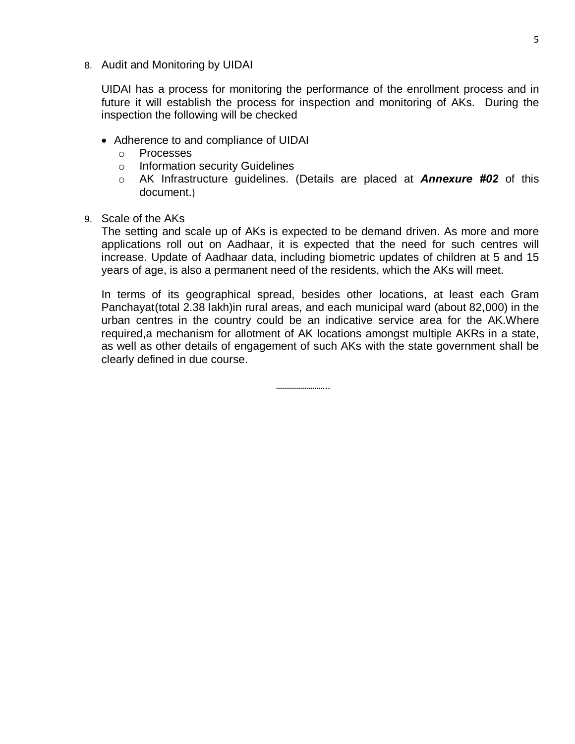8. Audit and Monitoring by UIDAI

UIDAI has a process for monitoring the performance of the enrollment process and in future it will establish the process for inspection and monitoring of AKs. During the inspection the following will be checked

- · Adherence to and compliance of UIDAI
	- o Processes
	- o Information security Guidelines
	- o AK Infrastructure guidelines. (Details are placed at *Annexure #02* of this document.)
- 9. Scale of the AKs

The setting and scale up of AKs is expected to be demand driven. As more and more applications roll out on Aadhaar, it is expected that the need for such centres will increase. Update of Aadhaar data, including biometric updates of children at 5 and 15 years of age, is also a permanent need of the residents, which the AKs will meet.

In terms of its geographical spread, besides other locations, at least each Gram Panchayat(total 2.38 lakh)in rural areas, and each municipal ward (about 82,000) in the urban centres in the country could be an indicative service area for the AK.Where required,a mechanism for allotment of AK locations amongst multiple AKRs in a state, as well as other details of engagement of such AKs with the state government shall be clearly defined in due course.

………………………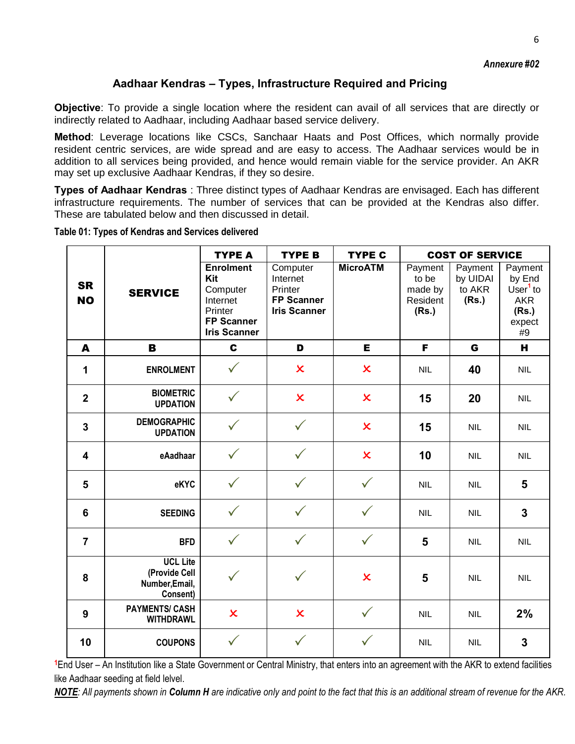#### **Aadhaar Kendras – Types, Infrastructure Required and Pricing**

**Objective**: To provide a single location where the resident can avail of all services that are directly or indirectly related to Aadhaar, including Aadhaar based service delivery.

**Method**: Leverage locations like CSCs, Sanchaar Haats and Post Offices, which normally provide resident centric services, are wide spread and are easy to access. The Aadhaar services would be in addition to all services being provided, and hence would remain viable for the service provider. An AKR may set up exclusive Aadhaar Kendras, if they so desire.

**Types of Aadhaar Kendras** : Three distinct types of Aadhaar Kendras are envisaged. Each has different infrastructure requirements. The number of services that can be provided at the Kendras also differ. These are tabulated below and then discussed in detail.

|                         | <b>SERVICE</b>                                                 | <b>TYPE A</b>                                                                                   | <b>TYPE B</b>                                                               | <b>TYPE C</b>           | <b>COST OF SERVICE</b>                           |                                        |                                                                         |  |
|-------------------------|----------------------------------------------------------------|-------------------------------------------------------------------------------------------------|-----------------------------------------------------------------------------|-------------------------|--------------------------------------------------|----------------------------------------|-------------------------------------------------------------------------|--|
| <b>SR</b><br><b>NO</b>  |                                                                | <b>Enrolment</b><br>Kit<br>Computer<br>Internet<br>Printer<br>FP Scanner<br><b>Iris Scanner</b> | Computer<br>Internet<br>Printer<br><b>FP Scanner</b><br><b>Iris Scanner</b> | <b>MicroATM</b>         | Payment<br>to be<br>made by<br>Resident<br>(Rs.) | Payment<br>by UIDAI<br>to AKR<br>(Rs.) | Payment<br>by End<br>User $1$ to<br><b>AKR</b><br>(Rs.)<br>expect<br>#9 |  |
| A                       | B                                                              | $\mathbf c$                                                                                     | D                                                                           | E                       | F                                                | G                                      | н                                                                       |  |
| 1                       | <b>ENROLMENT</b>                                               | $\checkmark$                                                                                    | $\boldsymbol{\mathsf{x}}$                                                   | $\pmb{\times}$          | <b>NIL</b>                                       | 40                                     | <b>NIL</b>                                                              |  |
| $\overline{2}$          | <b>BIOMETRIC</b><br><b>UPDATION</b>                            |                                                                                                 | $\boldsymbol{\mathsf{x}}$                                                   | $\overline{\mathsf{x}}$ | 15                                               | 20                                     | <b>NIL</b>                                                              |  |
| $\mathbf 3$             | <b>DEMOGRAPHIC</b><br><b>UPDATION</b>                          |                                                                                                 | $\checkmark$                                                                | $\overline{\mathsf{x}}$ | 15                                               | <b>NIL</b>                             | <b>NIL</b>                                                              |  |
| $\overline{\mathbf{4}}$ | eAadhaar                                                       |                                                                                                 | $\checkmark$                                                                | $\overline{\mathsf{x}}$ | 10                                               | <b>NIL</b>                             | <b>NIL</b>                                                              |  |
| $\overline{\mathbf{5}}$ | eKYC                                                           |                                                                                                 | $\checkmark$                                                                | $\checkmark$            | <b>NIL</b>                                       | <b>NIL</b>                             | 5                                                                       |  |
| 6                       | <b>SEEDING</b>                                                 | $\checkmark$                                                                                    | $\checkmark$                                                                | $\checkmark$            | <b>NIL</b>                                       | <b>NIL</b>                             | $\overline{3}$                                                          |  |
| $\overline{7}$          | <b>BFD</b>                                                     |                                                                                                 | $\checkmark$                                                                | $\checkmark$            | 5                                                | <b>NIL</b>                             | <b>NIL</b>                                                              |  |
| 8                       | <b>UCL Lite</b><br>(Provide Cell<br>Number, Email,<br>Consent) |                                                                                                 |                                                                             | $\overline{\mathsf{x}}$ | 5                                                | <b>NIL</b>                             | <b>NIL</b>                                                              |  |
| $\boldsymbol{9}$        | <b>PAYMENTS/ CASH</b><br><b>WITHDRAWL</b>                      | $\mathsf{x}$                                                                                    | $\overline{\mathsf{x}}$                                                     | $\checkmark$            | <b>NIL</b>                                       | <b>NIL</b>                             | 2%                                                                      |  |
| 10                      | <b>COUPONS</b>                                                 |                                                                                                 |                                                                             |                         | <b>NIL</b>                                       | <b>NIL</b>                             | 3                                                                       |  |

**Table 01: Types of Kendras and Services delivered**

**<sup>1</sup>**End User – An Institution like a State Government or Central Ministry, that enters into an agreement with the AKR to extend facilities like Aadhaar seeding at field lelvel.

*NOTE: All payments shown in Column H are indicative only and point to the fact that this is an additional stream of revenue for the AKR.*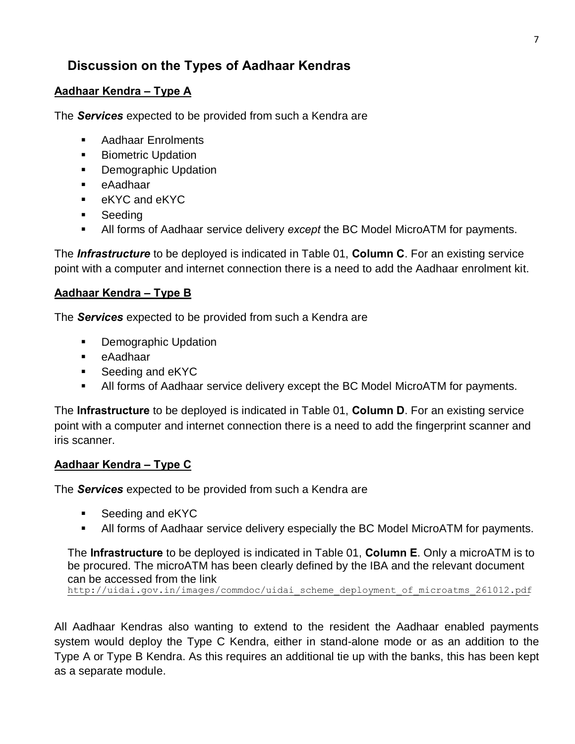## **Discussion on the Types of Aadhaar Kendras**

#### **Aadhaar Kendra – Type A**

The *Services* expected to be provided from such a Kendra are

- ß Aadhaar Enrolments
- **Biometric Updation**
- **•** Demographic Updation
- ß eAadhaar
- ß eKYC and eKYC
- **Seeding**
- ß All forms of Aadhaar service delivery *except* the BC Model MicroATM for payments.

The *Infrastructure* to be deployed is indicated in Table 01, **Column C**. For an existing service point with a computer and internet connection there is a need to add the Aadhaar enrolment kit.

#### **Aadhaar Kendra – Type B**

The *Services* expected to be provided from such a Kendra are

- Demographic Updation
- **•** eAadhaar
- Seeding and eKYC
- All forms of Aadhaar service delivery except the BC Model MicroATM for payments.

The **Infrastructure** to be deployed is indicated in Table 01, **Column D**. For an existing service point with a computer and internet connection there is a need to add the fingerprint scanner and iris scanner.

#### **Aadhaar Kendra – Type C**

The *Services* expected to be provided from such a Kendra are

- ß Seeding and eKYC
- ß All forms of Aadhaar service delivery especially the BC Model MicroATM for payments.

The **Infrastructure** to be deployed is indicated in Table 01, **Column E**. Only a microATM is to be procured. The microATM has been clearly defined by the IBA and the relevant document can be accessed from the link

http://uidai.gov.in/images/commdoc/uidai\_scheme\_deployment\_of\_microatms\_261012.pdf

All Aadhaar Kendras also wanting to extend to the resident the Aadhaar enabled payments system would deploy the Type C Kendra, either in stand-alone mode or as an addition to the Type A or Type B Kendra. As this requires an additional tie up with the banks, this has been kept as a separate module.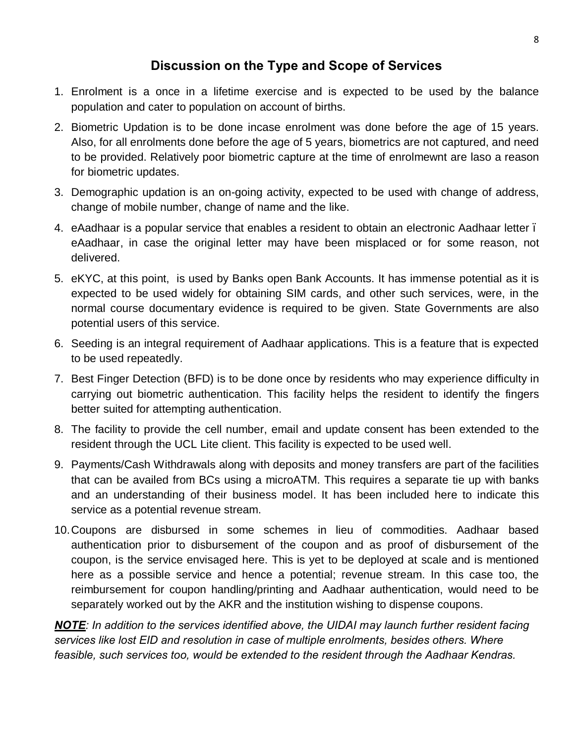## **Discussion on the Type and Scope of Services**

- 1. Enrolment is a once in a lifetime exercise and is expected to be used by the balance population and cater to population on account of births.
- 2. Biometric Updation is to be done incase enrolment was done before the age of 15 years. Also, for all enrolments done before the age of 5 years, biometrics are not captured, and need to be provided. Relatively poor biometric capture at the time of enrolmewnt are laso a reason for biometric updates.
- 3. Demographic updation is an on-going activity, expected to be used with change of address, change of mobile number, change of name and the like.
- 4. eAadhaar is a popular service that enables a resident to obtain an electronic Aadhaar letter eAadhaar, in case the original letter may have been misplaced or for some reason, not delivered.
- 5. eKYC, at this point, is used by Banks open Bank Accounts. It has immense potential as it is expected to be used widely for obtaining SIM cards, and other such services, were, in the normal course documentary evidence is required to be given. State Governments are also potential users of this service.
- 6. Seeding is an integral requirement of Aadhaar applications. This is a feature that is expected to be used repeatedly.
- 7. Best Finger Detection (BFD) is to be done once by residents who may experience difficulty in carrying out biometric authentication. This facility helps the resident to identify the fingers better suited for attempting authentication.
- 8. The facility to provide the cell number, email and update consent has been extended to the resident through the UCL Lite client. This facility is expected to be used well.
- 9. Payments/Cash Withdrawals along with deposits and money transfers are part of the facilities that can be availed from BCs using a microATM. This requires a separate tie up with banks and an understanding of their business model. It has been included here to indicate this service as a potential revenue stream.
- 10.Coupons are disbursed in some schemes in lieu of commodities. Aadhaar based authentication prior to disbursement of the coupon and as proof of disbursement of the coupon, is the service envisaged here. This is yet to be deployed at scale and is mentioned here as a possible service and hence a potential; revenue stream. In this case too, the reimbursement for coupon handling/printing and Aadhaar authentication, would need to be separately worked out by the AKR and the institution wishing to dispense coupons.

*NOTE: In addition to the services identified above, the UIDAI may launch further resident facing services like lost EID and resolution in case of multiple enrolments, besides others. Where feasible, such services too, would be extended to the resident through the Aadhaar Kendras.*